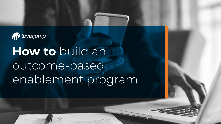

**How to** build an outcome-based enablement program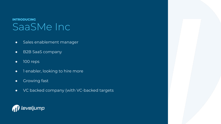### SaaSMe Inc **INTRODUCING**

- Sales enablement manager
- B2B SaaS company
- 100 reps
- 1 enabler, looking to hire more
- **•** Growing fast
- VC backed company (with VC-backed targets

### *al* leveljump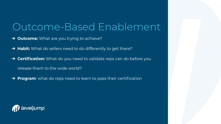## Outcome-Based Enablement

- ➔ **Outcome:** What are you trying to achieve?
- → **Habit:** What do sellers need to do differently to get there?
- ➔ **Certification:** What do you need to validate reps can do before you release them to the wide world?
- → **Program**: what do reps need to learn to pass their certification

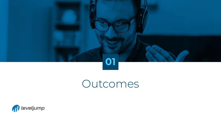

## Outcomes

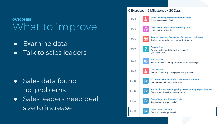### What to improve **OUTCOMES**

- Examine data
- Talk to sales leaders

- Sales data found no problems
- Sales leaders need deal size to increase

#### 6 Exercises · 5 Milestones · 30 Days Attend a training session on busienss value Day 1 Zoom session with Q&A Listen to the best value-based selling calls Day 2 Listen to the best calls Read an overview of where we offer value to businesses Day 2 Œ Review the material used during the training **Ouizzin' time** Day 4 Do you understand the business value? Quiz Target: 100% **Practice pitch** Day 4 Record yourself pitching on value for your manager **O&A Session** Day 6 Ask your SMEs any buring questions you have 50 call connects, 40 of which use the new talk track **IBSI Day 12** Use the new talk track in the wild Run 10 dicsos without triggering the discounting keyword tracker 网 Day 17 Can you sell the value over the price? Create 5 opportunities over \$30K œ **Day 22** Are you piping larger deals? Close 1 deal over \$30K læ **Day 30** Can you close larger deals?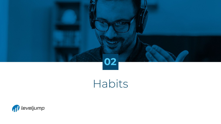

# **Habits**

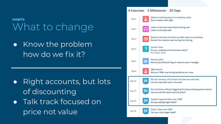### What to change **HABITS**

● Know the problem how do we fix it?

- Right accounts, but lots of discounting
- Talk track focused on price not value

#### 6 Exercises · 5 Milestones · 30 Days Attend a training session on busienss value Day 1 Zoom session with Q&A Listen to the best value-based selling calls Day 2 Listen to the best calls Read an overview of where we offer value to businesses Œ Day 2 Review the material used during the training **Ouizzin' time** Day 4 Do you understand the business value? Quiz Target: 100% **Practice pitch** Day 4 Record yourself pitching on value for your manager Q&A Session Day 6 Ask your SMEs any buring questions you have 50 call connects, 40 of which use the new talk track **IBSI** Day 12 Use the new talk track in the wild Run 10 dicsos without triggering the discounting keyword tracker 网 Day 17 Can you sell the value over the price? Create 5 opportunities over \$30K œ Day 22 Are you piping larger deals? Close 1 deal over \$30K œ Day 30 Can you close larger deals?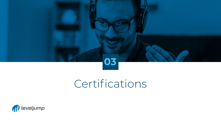

## Certifications

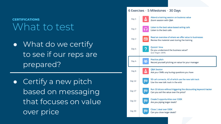### What to test **CERTIFICATIONS**

- What do we certify to see if our reps are prepared?
- Certify a new pitch based on messaging that focuses on value over price

#### 6 Exercises · 5 Milestones · 30 Days Attend a training session on busienss value Day 1 Zoom session with O&A Listen to the best value-based selling calls Day 2 Listen to the best calls Read an overview of where we offer value to businesses Day 2 Œ Review the material used during the training **Ouizzin' time** Day 4 Do you understand the business value? Quiz Target: 100% **Practice pitch** Day 4 Record yourself pitching on value for your manager Q&A Session Day 6 Ask your SMEs any buring questions you have 50 call connects, 40 of which use the new talk track ١Œα **Day 12** Use the new talk track in the wild Run 10 dicsos without triggering the discounting keyword tracker 网 Day 17 Can you sell the value over the price? Create 5 opportunities over \$30K œ **Day 22** Are you piping larger deals? Close 1 deal over \$30K **Day 30** Can you close larger deals?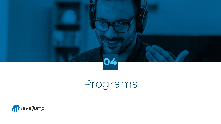

# Programs